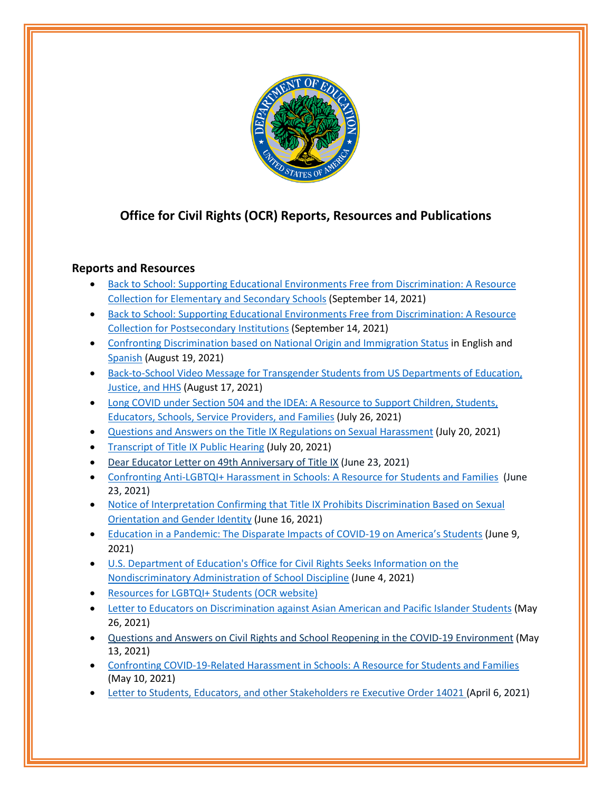

## **Office for Civil Rights (OCR) Reports, Resources and Publications**

## **Reports and Resources**

- [Back to School: Supporting Educational Environments Free from Discrimination: A Resource](https://www2.ed.gov/about/offices/list/ocr/docs/back-to-school-binder-elementary-secondary-sept-2021.pdf)  [Collection for Elementary and Secondary Schools](https://www2.ed.gov/about/offices/list/ocr/docs/back-to-school-binder-elementary-secondary-sept-2021.pdf) (September 14, 2021)
- [Back to School: Supporting Educational Environments Free from Discrimination: A Resource](https://www2.ed.gov/about/offices/list/ocr/docs/back-to-school-binder-postsecondary-sept-2021.pdf)  [Collection for Postsecondary Institutions](https://www2.ed.gov/about/offices/list/ocr/docs/back-to-school-binder-postsecondary-sept-2021.pdf) (September 14, 2021)
- [Confronting Discrimination based on National Origin and Immigration Status](https://www2.ed.gov/about/offices/list/ocr/docs/confronting-discrimination-national-origin-immigration-status) in English and [Spanish](https://www2.ed.gov/about/offices/list/ocr/docs/confronting-discrimination-national-origin-spanish-translation) (August 19, 2021)
- Back-to-School Video Message for Transgender Students from US Departments of Education, [Justice, and HHS](https://www.youtube.com/watch?v=lGHtoBJMcgU) (August 17, 2021)
- Long COVID under Section 504 and the IDEA: A Resource to Support Children, Students, [Educators, Schools, Service Providers, and Families](https://www2.ed.gov/about/offices/list/ocr/docs/ocr-factsheet-504-20210726.pdf) (July 26, 2021)
- [Questions and Answers on the Title IX Regulations on Sexual Harassment](https://www2.ed.gov/about/offices/list/ocr/docs/202107-qa-titleix.pdf) (July 20, 2021)
- [Transcript of Title IX Public Hearing](https://www2.ed.gov/about/offices/list/ocr/docs/202106-titleix-publichearing-complete.pdf) (July 20, 2021)
- [Dear Educator Letter on 49th Anniversary of Title IX](https://www2.ed.gov/about/offices/list/ocr/correspondence/stakeholders/educator-202106-tix.pdf) (June 23, 2021)
- [Confronting Anti-LGBTQI+ Harassment in Schools: A Resource for Students and Families](https://www2.ed.gov/about/offices/list/ocr/docs/ocr-factsheet-tix-202106.pdf) (June 23, 2021)
- [Notice of Interpretation Confirming that Title IX Prohibits Discrimination Based on Sexual](https://www.govinfo.gov/content/pkg/FR-2021-06-22/pdf/2021-13058.pdf)  [Orientation and Gender Identity](https://www.govinfo.gov/content/pkg/FR-2021-06-22/pdf/2021-13058.pdf) (June 16, 2021)
- [Education in a Pandemic: The Disparate Impacts of COVID-19 on America's Students](https://www2.ed.gov/about/offices/list/ocr/docs/20210608-impacts-of-covid19.pdf?utm_content=&utm_medium=email&utm_name=&utm_source=govdelivery&utm_term=) (June 9, 2021)
- [U.S. Department of Education's Office for Civil Rights Seeks Information on the](https://www.govinfo.gov/content/pkg/FR-2021-06-08/pdf/2021-11990.pdf)  [Nondiscriminatory Administration of School Discipline](https://www.govinfo.gov/content/pkg/FR-2021-06-08/pdf/2021-11990.pdf) (June 4, 2021)
- [Resources for LGBTQI+ Students](https://www2.ed.gov/about/offices/list/ocr/lgbt.html) (OCR website)
- [Letter to Educators on Discrimination against Asian American and Pacific Islander Students](https://www2.ed.gov/about/offices/list/ocr/correspondence/stakeholders/educator-202105-aapi.pdf) (May 26, 2021)
- [Questions and Answers on Civil Rights and School Reopening in the COVID](https://www2.ed.gov/about/offices/list/ocr/docs/qa-reopening-202105.pdf)-19 Environment (May 13, 2021)
- [Confronting COVID-19-Related Harassment in Schools: A Resource for Students and Families](https://www2.ed.gov/about/offices/list/ocr/docs/ocr-factsheet-aapi-202105.pdf) (May 10, 2021)
- [Letter to Students, Educators, and other Stakeholders re Executive Order 14021](https://www2.ed.gov/about/offices/list/ocr/correspondence/stakeholders/20210406-titleix-eo-14021.pdf) (April 6, 2021)